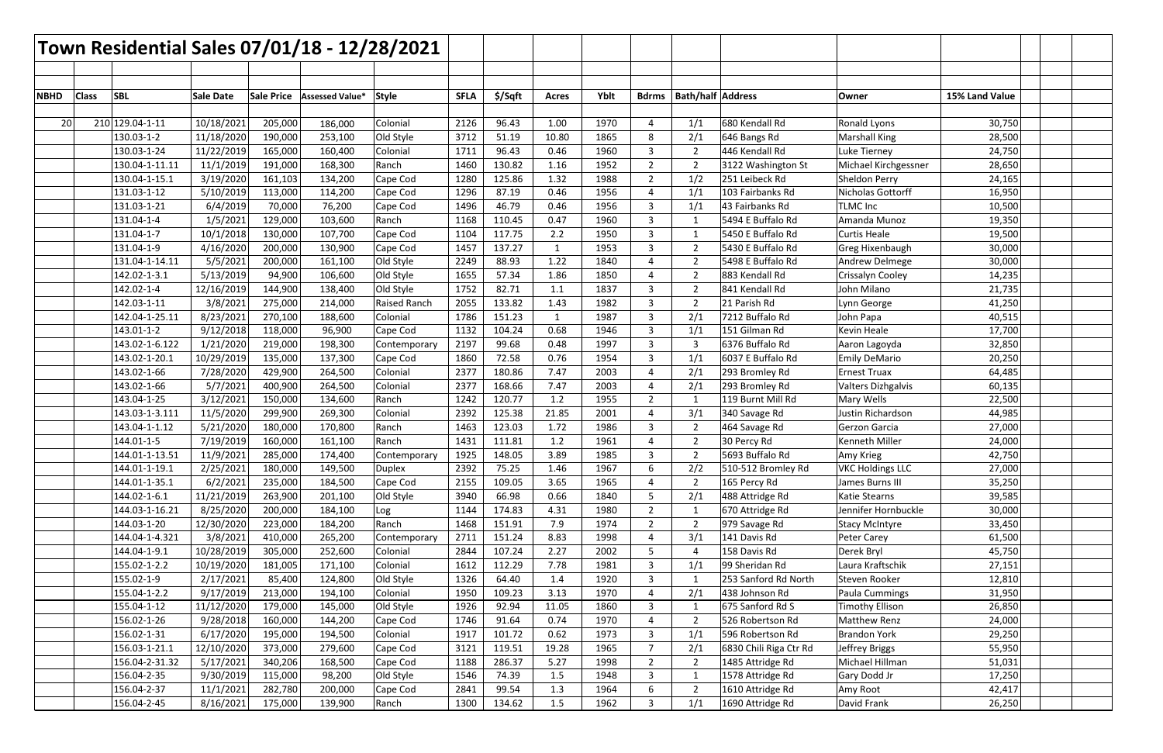| Town Residential Sales 07/01/18 - 12/28/2021 |              |                                |                        |                   |                    |                          |              |                  |              |              |                |                |                               |                                      |                  |  |
|----------------------------------------------|--------------|--------------------------------|------------------------|-------------------|--------------------|--------------------------|--------------|------------------|--------------|--------------|----------------|----------------|-------------------------------|--------------------------------------|------------------|--|
|                                              |              |                                |                        |                   |                    |                          |              |                  |              |              |                |                |                               |                                      |                  |  |
|                                              |              |                                |                        |                   |                    |                          |              |                  |              |              |                |                |                               |                                      |                  |  |
| <b>NBHD</b>                                  | <b>Class</b> | <b>SBL</b>                     | <b>Sale Date</b>       | <b>Sale Price</b> | Assessed Value*    | Style                    | <b>SFLA</b>  | \$/Sqft          | <b>Acres</b> | Yblt         | <b>Bdrms</b>   |                | <b>Bath/half Address</b>      | Owner                                | 15% Land Value   |  |
|                                              |              |                                |                        |                   |                    |                          |              |                  |              |              |                |                |                               |                                      |                  |  |
| 20                                           |              | 210 129.04-1-11                | 10/18/2021             | 205,000           | 186,000            | Colonial                 | 2126         | 96.43            | 1.00         | 1970         |                | 1/1            | 680 Kendall Rd                | Ronald Lyons                         | 30,750           |  |
|                                              |              | 130.03-1-2                     | 11/18/2020             | 190,000           | 253,100            | Old Style                | 3712         | 51.19            | 10.80        | 1865         | 8              | 2/1            | 646 Bangs Rd                  | <b>Marshall King</b>                 | 28,500           |  |
|                                              |              | 130.03-1-24                    | 11/22/2019             | 165,000           | 160,400            | Colonial                 | 1711         | 96.43            | 0.46         | 1960         | 3              | $\overline{2}$ | 446 Kendall Rd                | Luke Tierney                         | 24,750           |  |
|                                              |              | 130.04-1-11.11                 | 11/1/2019              | 191,000           | 168,300            | Ranch                    | 1460         | 130.82           | 1.16         | 1952         | $2^{\circ}$    | $\overline{2}$ | 3122 Washington St            | Michael Kirchgessner                 | 28,650           |  |
|                                              |              | 130.04-1-15.1                  | 3/19/2020              | 161,103           | 134,200            | Cape Cod                 | 1280         | 125.86           | 1.32         | 1988         | 2              | 1/2            | 251 Leibeck Rd                | Sheldon Perry                        | 24,165           |  |
|                                              |              | 131.03-1-12                    | 5/10/2019              | 113,000           | 114,200            | Cape Cod                 | 1296         | 87.19            | 0.46         | 1956         |                | 1/1            | 103 Fairbanks Rd              | Nicholas Gottorff                    | 16,950           |  |
|                                              |              | 131.03-1-21                    | 6/4/2019               | 70,000            | 76,200             | Cape Cod                 | 1496         | 46.79            | 0.46         | 1956         | 3              | 1/1            | 43 Fairbanks Rd               | <b>TLMC Inc</b>                      | 10,500           |  |
|                                              |              | 131.04-1-4                     | 1/5/2021               | 129,000           | 103,600            | Ranch                    | 1168         | 110.45           | 0.47         | 1960         | 3              |                | 5494 E Buffalo Rd             | Amanda Munoz                         | 19,350           |  |
|                                              |              | 131.04-1-7                     | 10/1/2018              | 130,000           | 107,700            | Cape Cod                 | 1104         | 117.75           | 2.2          | 1950         | 3              |                | 5450 E Buffalo Rd             | <b>Curtis Heale</b>                  | 19,500           |  |
|                                              |              | 131.04-1-9                     | 4/16/2020              | 200,000           | 130,900            | Cape Cod                 | 1457         | 137.27           | $\mathbf{1}$ | 1953         | 3              | $\overline{2}$ | 5430 E Buffalo Rd             | <b>Greg Hixenbaugh</b>               | 30,000           |  |
|                                              |              | 131.04-1-14.11                 | 5/5/2021               | 200,000           | 161,100            | Old Style                | 2249         | 88.93            | 1.22         | 1840         |                |                | 5498 E Buffalo Rd             | Andrew Delmege                       | 30,000           |  |
|                                              |              | 142.02-1-3.1                   | 5/13/2019              | 94,900            | 106,600            | Old Style                | 1655         | 57.34            | 1.86         | 1850         | 4              | $\overline{2}$ | 883 Kendall Rd                | Crissalyn Cooley                     | 14,235           |  |
|                                              |              | 142.02-1-4                     | 12/16/2019             | 144,900           | 138,400            | Old Style                | 1752         | 82.71            | 1.1          | 1837         | 3              |                | 841 Kendall Rd                | John Milano                          | 21,735           |  |
|                                              |              | 142.03-1-11                    | 3/8/2021               | 275,000           | 214,000            | <b>Raised Ranch</b>      | 2055         | 133.82           | 1.43         | 1982         | 3              |                | 21 Parish Rd                  | Lynn George                          | 41,250           |  |
|                                              |              | 142.04-1-25.11                 | 8/23/2021              | 270,100           | 188,600            | Colonial                 | 1786         | 151.23           | $\mathbf{1}$ | 1987         | 3              | 2/1            | 7212 Buffalo Rd               | John Papa                            | 40,515           |  |
|                                              |              | 143.01-1-2                     | 9/12/2018              | 118,000           | 96,900             | Cape Cod                 | 1132         | 104.24           | 0.68         | 1946         | 3              | 1/1            | 151 Gilman Rd                 | Kevin Heale                          | 17,700           |  |
|                                              |              | 143.02-1-6.122                 | 1/21/2020              | 219,000           | 198,300            | Contemporary             | 2197         | 99.68            | 0.48         | 1997         | 3              | $\overline{3}$ | 6376 Buffalo Rd               | Aaron Lagoyda                        | 32,850           |  |
|                                              |              | 143.02-1-20.1                  | 10/29/2019             | 135,000           | 137,300            | Cape Cod                 | 1860         | 72.58            | 0.76         | 1954         | 3              | 1/1            | 6037 E Buffalo Rd             | <b>Emily DeMario</b>                 | 20,250           |  |
|                                              |              | 143.02-1-66                    | 7/28/2020              | 429,900           | 264,500            | Colonial                 | 2377         | 180.86           | 7.47         | 2003         | 4              | 2/1            | 293 Bromley Rd                | <b>Ernest Truax</b>                  | 64,485           |  |
|                                              |              | 143.02-1-66                    | 5/7/2021               | 400,900           | 264,500            | Colonial                 | 2377         | 168.66           | 7.47         | 2003         |                | 2/1            | 293 Bromley Rd                | Valters Dizhgalvis                   | 60,135           |  |
|                                              |              | 143.04-1-25                    | 3/12/2021              | 150,000           | 134,600            | Ranch                    | 1242         | 120.77           | 1.2          | 1955         | $2^{\circ}$    |                | 119 Burnt Mill Rd             | Mary Wells                           | 22,500           |  |
|                                              |              | 143.03-1-3.111                 | 11/5/2020              | 299,900           | 269,300            | Colonial                 | 2392         | 125.38           | 21.85        | 2001         | 4              | 3/1            | 340 Savage Rd                 | Justin Richardson                    | 44,985           |  |
|                                              |              | 143.04-1-1.12                  | 5/21/2020              | 180,000           | 170,800            | Ranch                    | 1463         | 123.03           | 1.72         | 1986         | 3              | $\overline{2}$ | 464 Savage Rd                 | Gerzon Garcia                        | 27,000           |  |
|                                              |              | 144.01-1-5                     | 7/19/2019              | 160,000           | 161,100            | Ranch                    | 1431         | 111.81           | 1.2          | 1961         |                |                | 30 Percy Rd                   | Kenneth Miller                       | 24,000           |  |
|                                              |              | 144.01-1-13.51                 | 11/9/2021              | 285,000           | 174,400            | Contemporary             | 1925         | 148.05           | 3.89         | 1985         | 3              |                | 5693 Buffalo Rd               | Amy Krieg                            | 42,750           |  |
|                                              |              | 144.01-1-19.1                  | 2/25/2021              | 180,000           | 149,500            | <b>Duplex</b>            | 2392         | 75.25            | 1.46         | 1967         | 6              | 2/2            | 510-512 Bromley Rd            | <b>VKC Holdings LLC</b>              | 27,000           |  |
|                                              |              | 144.01-1-35.1                  | 6/2/2021               | 235,000           | 184,500            | Cape Cod                 | 2155         | 109.05           | 3.65<br>0.66 | 1965         | 4              | $\overline{2}$ | 165 Percy Rd                  | James Burns III                      | 35,250           |  |
|                                              |              | 144.02-1-6.1<br>144.03-1-16.21 | 11/21/2019             | 263,900           | 201,100            | Old Style                | 3940         | 66.98            |              | 1840         | 5              | 2/1            | 488 Attridge Rd               | Katie Stearns<br>Jennifer Hornbuckle | 39,585           |  |
|                                              |              |                                | 8/25/2020              | 200,000           | 184,100            | Log                      | 1144         | 174.83           | 4.31         | 1980         | $2^{\circ}$    | -1             | 670 Attridge Rd               |                                      | 30,000           |  |
|                                              |              | 144.03-1-20                    | 12/30/2020             | 223,000           | 184,200            | Ranch                    | 1468         | 151.91           | 7.9<br>8.83  | 1974         | $\overline{2}$ |                | 979 Savage Rd<br>141 Davis Rd | <b>Stacy McIntyre</b><br>Peter Carey | 33,450           |  |
|                                              |              | 144.04-1-4.321<br>144.04-1-9.1 | 3/8/2021<br>10/28/2019 | 410,000           | 265,200<br>252,600 | Contemporary<br>Colonial | 2711<br>2844 | 151.24<br>107.24 | 2.27         | 1998<br>2002 | 4<br>5         | 3/1            | 158 Davis Rd                  | Derek Bryl                           | 61,500           |  |
|                                              |              | 155.02-1-2.2                   | 10/19/2020             | 305,000           |                    | Colonial                 | 1612         | 112.29           | 7.78         | 1981         |                | 1/1            | 99 Sheridan Rd                | Laura Kraftschik                     | 45,750<br>27,151 |  |
|                                              |              | 155.02-1-9                     | 2/17/2021              | 181,005<br>85,400 | 171,100<br>124,800 | Old Style                | 1326         | 64.40            | 1.4          | 1920         | 3<br>3         | $\overline{1}$ | 253 Sanford Rd North          | Steven Rooker                        | 12,810           |  |
|                                              |              | 155.04-1-2.2                   | 9/17/2019              | 213,000           | 194,100            | Colonial                 | 1950         | 109.23           | 3.13         | 1970         | 4              | 2/1            | 438 Johnson Rd                | Paula Cummings                       | 31,950           |  |
|                                              |              | 155.04-1-12                    | 11/12/2020             | 179,000           | 145,000            | Old Style                | 1926         | 92.94            | 11.05        | 1860         | 3              |                | 675 Sanford Rd S              | <b>Timothy Ellison</b>               | 26,850           |  |
|                                              |              | 156.02-1-26                    | 9/28/2018              | 160,000           | 144,200            | Cape Cod                 | 1746         | 91.64            | 0.74         | 1970         |                |                | 526 Robertson Rd              | Matthew Renz                         | 24,000           |  |
|                                              |              | 156.02-1-31                    | 6/17/2020              | 195,000           | 194,500            | Colonial                 | 1917         | 101.72           | 0.62         | 1973         | 3              | 1/1            | 596 Robertson Rd              | <b>Brandon York</b>                  | 29,250           |  |
|                                              |              | 156.03-1-21.1                  | 12/10/2020             | 373,000           | 279,600            | Cape Cod                 | 3121         | 119.51           | 19.28        | 1965         | $7^{\circ}$    | 2/1            | 6830 Chili Riga Ctr Rd        | Jeffrey Briggs                       | 55,950           |  |
|                                              |              | 156.04-2-31.32                 | 5/17/2021              | 340,206           | 168,500            | Cape Cod                 | 1188         | 286.37           | 5.27         | 1998         | $\overline{2}$ |                | 1485 Attridge Rd              | Michael Hillman                      | 51,031           |  |
|                                              |              | 156.04-2-35                    | 9/30/2019              | 115,000           | 98,200             | Old Style                | 1546         | 74.39            | 1.5          | 1948         | 3              | 1              | 1578 Attridge Rd              | Gary Dodd Jr                         | 17,250           |  |
|                                              |              | 156.04-2-37                    | 11/1/2021              | 282,780           | 200,000            | Cape Cod                 | 2841         | 99.54            | 1.3          | 1964         | 6              |                | 1610 Attridge Rd              | Amy Root                             | 42,417           |  |
|                                              |              | 156.04-2-45                    | 8/16/2021              | 175,000           | 139,900            | Ranch                    | 1300         | 134.62           | 1.5          | 1962         | 3              | 1/1            | 1690 Attridge Rd              | David Frank                          | 26,250           |  |
|                                              |              |                                |                        |                   |                    |                          |              |                  |              |              |                |                |                               |                                      |                  |  |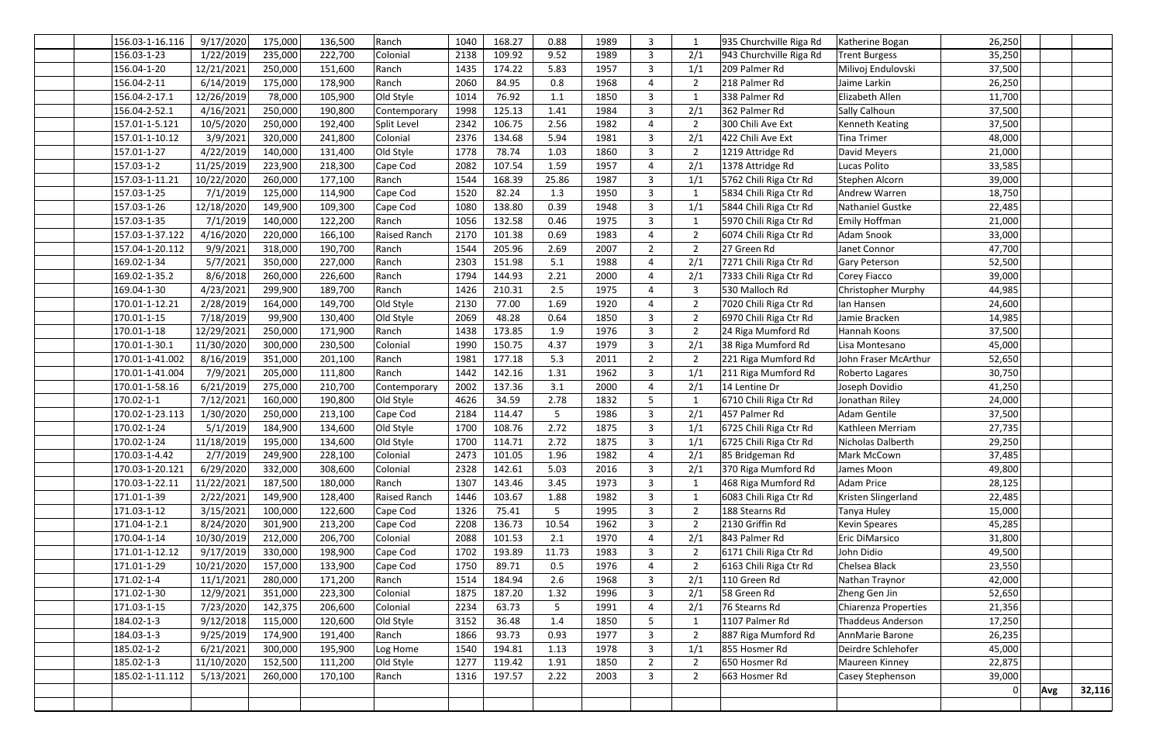| 156.03-1-16.116 | 9/17/2020  | 175,000 | 136,500 | Ranch               | 1040 | 168.27 | 0.88            | 1989 | 3              |                | 935 Churchville Riga Rd | Katherine Bogan             | 26,250 |     |        |
|-----------------|------------|---------|---------|---------------------|------|--------|-----------------|------|----------------|----------------|-------------------------|-----------------------------|--------|-----|--------|
| 156.03-1-23     | 1/22/2019  | 235,000 | 222,700 | Colonial            | 2138 | 109.92 | 9.52            | 1989 | 3              | 2/1            | 943 Churchville Riga Rd | <b>Trent Burgess</b>        | 35,250 |     |        |
| 156.04-1-20     | 12/21/2021 | 250,000 | 151,600 | Ranch               | 1435 | 174.22 | 5.83            | 1957 | 3              | 1/1            | 209 Palmer Rd           | Milivoj Endulovski          | 37,500 |     |        |
| 156.04-2-11     | 6/14/2019  | 175,000 | 178,900 | Ranch               | 2060 | 84.95  | 0.8             | 1968 | 4              | $\overline{2}$ | 218 Palmer Rd           | Jaime Larkin                | 26,250 |     |        |
| 156.04-2-17.1   | 12/26/2019 | 78,000  | 105,900 | Old Style           | 1014 | 76.92  | 1.1             | 1850 | 3              |                | 338 Palmer Rd           | Elizabeth Allen             | 11,700 |     |        |
| 156.04-2-52.1   | 4/16/2021  | 250,000 | 190,800 | Contemporary        | 1998 | 125.13 | 1.41            | 1984 | $\mathbf{3}$   | 2/1            | 362 Palmer Rd           | Sally Calhoun               | 37,500 |     |        |
| 157.01-1-5.121  | 10/5/2020  | 250,000 | 192,400 | Split Level         | 2342 | 106.75 | 2.56            | 1982 | 4              | $\overline{2}$ | 300 Chili Ave Ext       | Kenneth Keating             | 37,500 |     |        |
| 157.01-1-10.12  | 3/9/2021   | 320,000 | 241,800 | Colonial            | 2376 | 134.68 | 5.94            | 1981 | $\mathbf{3}$   | 2/1            | 422 Chili Ave Ext       | <b>Tina Trimer</b>          | 48,000 |     |        |
| 157.01-1-27     | 4/22/2019  | 140,000 | 131,400 | Old Style           | 1778 | 78.74  | 1.03            | 1860 | 3              | $\overline{2}$ | 1219 Attridge Rd        | David Meyers                | 21,000 |     |        |
| 157.03-1-2      | 11/25/2019 | 223,900 | 218,300 | Cape Cod            | 2082 | 107.54 | 1.59            | 1957 | 4              | 2/1            | 1378 Attridge Rd        | Lucas Polito                | 33,585 |     |        |
| 157.03-1-11.21  | 10/22/2020 | 260,000 | 177,100 | Ranch               | 1544 | 168.39 | 25.86           | 1987 | 3              | 1/1            | 5762 Chili Riga Ctr Rd  | Stephen Alcorn              | 39,000 |     |        |
| 157.03-1-25     | 7/1/2019   | 125,000 | 114,900 | Cape Cod            | 1520 | 82.24  | 1.3             | 1950 | 3              |                | 5834 Chili Riga Ctr Rd  | Andrew Warren               | 18,750 |     |        |
| 157.03-1-26     | 12/18/2020 | 149,900 | 109,300 | Cape Cod            | 1080 | 138.80 | 0.39            | 1948 | $\mathbf{3}$   | 1/1            | 5844 Chili Riga Ctr Rd  | Nathaniel Gustke            | 22,485 |     |        |
| 157.03-1-35     | 7/1/2019   | 140,000 | 122,200 | Ranch               | 1056 | 132.58 | 0.46            | 1975 | 3              |                | 5970 Chili Riga Ctr Rd  | <b>Emily Hoffman</b>        | 21,000 |     |        |
| 157.03-1-37.122 | 4/16/2020  | 220,000 | 166,100 | <b>Raised Ranch</b> | 2170 | 101.38 | 0.69            | 1983 | 4              |                | 6074 Chili Riga Ctr Rd  | Adam Snook                  | 33,000 |     |        |
| 157.04-1-20.112 | 9/9/2021   | 318,000 | 190,700 | Ranch               | 1544 | 205.96 | 2.69            | 2007 | $\overline{2}$ | $\overline{2}$ | 27 Green Rd             | Janet Connor                | 47,700 |     |        |
| 169.02-1-34     | 5/7/2021   | 350,000 | 227,000 | Ranch               | 2303 | 151.98 | 5.1             | 1988 | 4              | 2/1            | 7271 Chili Riga Ctr Rd  | Gary Peterson               | 52,500 |     |        |
| 169.02-1-35.2   | 8/6/2018   | 260,000 | 226,600 | Ranch               | 1794 | 144.93 | 2.21            | 2000 | 4              | 2/1            | 7333 Chili Riga Ctr Rd  | Corey Fiacco                | 39,000 |     |        |
| 169.04-1-30     | 4/23/2021  | 299,900 | 189,700 | Ranch               | 1426 | 210.31 | 2.5             | 1975 | 4              |                | 530 Malloch Rd          | Christopher Murphy          | 44,985 |     |        |
| 170.01-1-12.21  | 2/28/2019  | 164,000 | 149,700 | Old Style           | 2130 | 77.00  | 1.69            | 1920 | 4              | $\overline{2}$ | 7020 Chili Riga Ctr Rd  | lan Hansen                  | 24,600 |     |        |
| 170.01-1-15     | 7/18/2019  | 99,900  | 130,400 | Old Style           | 2069 | 48.28  | 0.64            | 1850 | $\mathbf{3}$   | $\overline{2}$ | 6970 Chili Riga Ctr Rd  | Jamie Bracken               | 14,985 |     |        |
| 170.01-1-18     | 12/29/2021 | 250,000 | 171,900 | Ranch               | 1438 | 173.85 | 1.9             | 1976 | 3              |                | 24 Riga Mumford Rd      | Hannah Koons                | 37,500 |     |        |
| 170.01-1-30.1   | 11/30/2020 | 300,000 | 230,500 | Colonial            | 1990 | 150.75 | 4.37            | 1979 | 3              | 2/1            | 38 Riga Mumford Rd      | Lisa Montesano              | 45,000 |     |        |
| 170.01-1-41.002 | 8/16/2019  | 351,000 | 201,100 | Ranch               | 1981 | 177.18 | 5.3             | 2011 | $\overline{2}$ | $\overline{2}$ | 221 Riga Mumford Rd     | John Fraser McArthur        | 52,650 |     |        |
| 170.01-1-41.004 | 7/9/2021   | 205,000 | 111,800 | Ranch               | 1442 | 142.16 | 1.31            | 1962 | 3              | 1/1            | 211 Riga Mumford Rd     | Roberto Lagares             | 30,750 |     |        |
| 170.01-1-58.16  | 6/21/2019  | 275,000 | 210,700 | Contemporary        | 2002 | 137.36 | 3.1             | 2000 | 4              | 2/1            | 14 Lentine Dr           | Joseph Dovidio              | 41,250 |     |        |
| 170.02-1-1      | 7/12/2021  | 160,000 | 190,800 | Old Style           | 4626 | 34.59  | 2.78            | 1832 | 5              |                | 6710 Chili Riga Ctr Rd  | Jonathan Riley              | 24,000 |     |        |
| 170.02-1-23.113 | 1/30/2020  | 250,000 | 213,100 | Cape Cod            | 2184 | 114.47 | 5               | 1986 | 3              | 2/1            | 457 Palmer Rd           | <b>Adam Gentile</b>         | 37,500 |     |        |
| 170.02-1-24     | 5/1/2019   | 184,900 | 134,600 | Old Style           | 1700 | 108.76 | 2.72            | 1875 | $\overline{3}$ | 1/1            | 6725 Chili Riga Ctr Rd  | Kathleen Merriam            | 27,735 |     |        |
| 170.02-1-24     | 11/18/2019 | 195,000 | 134,600 | Old Style           | 1700 | 114.71 | 2.72            | 1875 | 3              | 1/1            | 6725 Chili Riga Ctr Rd  | Nicholas Dalberth           | 29,250 |     |        |
| 170.03-1-4.42   | 2/7/2019   | 249,900 | 228,100 | Colonial            | 2473 | 101.05 | 1.96            | 1982 | 4              | 2/1            | 85 Bridgeman Rd         | Mark McCown                 | 37,485 |     |        |
| 170.03-1-20.121 | 6/29/2020  | 332,000 | 308,600 | Colonial            | 2328 | 142.61 | 5.03            | 2016 | 3              | 2/1            | 370 Riga Mumford Rd     | James Moon                  | 49,800 |     |        |
| 170.03-1-22.11  | 11/22/2021 | 187,500 | 180,000 | Ranch               | 1307 | 143.46 | 3.45            | 1973 | 3              |                | 468 Riga Mumford Rd     | <b>Adam Price</b>           | 28,125 |     |        |
| 171.01-1-39     | 2/22/2021  | 149,900 | 128,400 | Raised Ranch        | 1446 | 103.67 | 1.88            | 1982 | $\mathbf{3}$   |                | 6083 Chili Riga Ctr Rd  | Kristen Slingerland         | 22,485 |     |        |
| 171.03-1-12     | 3/15/2021  | 100,000 | 122,600 | Cape Cod            | 1326 | 75.41  | $5\phantom{.0}$ | 1995 | 3              | $\overline{2}$ | 188 Stearns Rd          | Tanya Huley                 | 15,000 |     |        |
| 171.04-1-2.1    | 8/24/2020  | 301,900 | 213,200 | Cape Cod            | 2208 | 136.73 | 10.54           | 1962 | 3              |                | 2130 Griffin Rd         | <b>Kevin Speares</b>        | 45,285 |     |        |
| 170.04-1-14     | 10/30/2019 | 212,000 | 206,700 | Colonial            | 2088 | 101.53 | 2.1             | 1970 | 4              | 2/1            | 843 Palmer Rd           | Eric DiMarsico              | 31,800 |     |        |
| 171.01-1-12.12  | 9/17/2019  | 330,000 | 198,900 | Cape Cod            | 1702 | 193.89 | 11.73           | 1983 | $\mathbf{3}$   | $\overline{2}$ | 6171 Chili Riga Ctr Rd  | John Didio                  | 49,500 |     |        |
| 171.01-1-29     | 10/21/2020 | 157,000 | 133,900 | Cape Cod            | 1750 | 89.71  | 0.5             | 1976 | 4              |                | 6163 Chili Riga Ctr Rd  | Chelsea Black               | 23,550 |     |        |
| 171.02-1-4      | 11/1/2021  | 280,000 | 171,200 | Ranch               | 1514 | 184.94 | 2.6             | 1968 | $\mathbf{3}$   | 2/1            | 110 Green Rd            | Nathan Traynor              | 42,000 |     |        |
| 171.02-1-30     | 12/9/2021  | 351,000 | 223,300 | Colonial            | 1875 | 187.20 | 1.32            | 1996 | $\mathbf{3}$   | 2/1            | 58 Green Rd             | Zheng Gen Jin               | 52,650 |     |        |
| 171.03-1-15     | 7/23/2020  | 142,375 | 206,600 | Colonial            | 2234 | 63.73  | 5               | 1991 | 4              | 2/1            | 76 Stearns Rd           | <b>Chiarenza Properties</b> | 21,356 |     |        |
| 184.02-1-3      | 9/12/2018  | 115,000 | 120,600 | Old Style           | 3152 | 36.48  | 1.4             | 1850 | 5              |                | 1107 Palmer Rd          | <b>Thaddeus Anderson</b>    | 17,250 |     |        |
| 184.03-1-3      | 9/25/2019  | 174,900 | 191,400 | Ranch               | 1866 | 93.73  | 0.93            | 1977 | $\mathbf{3}$   |                | 887 Riga Mumford Rd     | AnnMarie Barone             | 26,235 |     |        |
| 185.02-1-2      | 6/21/2021  | 300,000 | 195,900 | Log Home            | 1540 | 194.81 | 1.13            | 1978 | 3              | 1/1            | 855 Hosmer Rd           | Deirdre Schlehofer          | 45,000 |     |        |
| 185.02-1-3      | 11/10/2020 | 152,500 | 111,200 | Old Style           | 1277 | 119.42 | 1.91            | 1850 | $\overline{2}$ |                | 650 Hosmer Rd           | Maureen Kinney              | 22,875 |     |        |
| 185.02-1-11.112 | 5/13/2021  | 260,000 | 170,100 | Ranch               | 1316 | 197.57 | 2.22            | 2003 | $\mathbf{3}$   | $\overline{2}$ | 663 Hosmer Rd           | Casey Stephenson            | 39,000 |     |        |
|                 |            |         |         |                     |      |        |                 |      |                |                |                         |                             | 0      | Avg | 32,116 |
|                 |            |         |         |                     |      |        |                 |      |                |                |                         |                             |        |     |        |